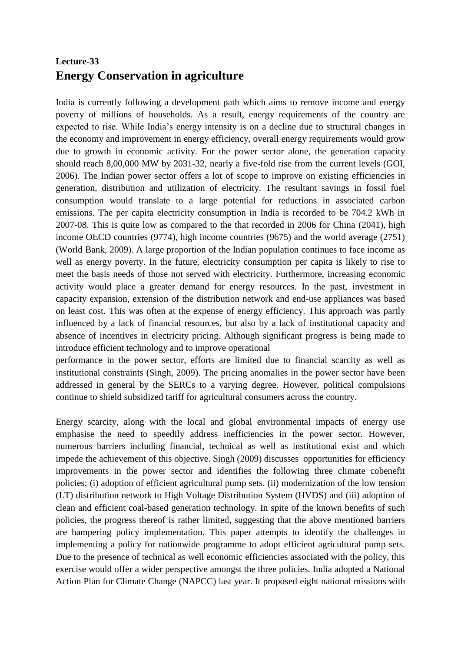# **Lecture-33 Energy Conservation in agriculture**

India is currently following a development path which aims to remove income and energy poverty of millions of households. As a result, energy requirements of the country are expected to rise. While India's energy intensity is on a decline due to structural changes in the economy and improvement in energy efficiency, overall energy requirements would grow due to growth in economic activity. For the power sector alone, the generation capacity should reach 8,00,000 MW by 2031-32, nearly a five-fold rise from the current levels (GOI, 2006). The Indian power sector offers a lot of scope to improve on existing efficiencies in generation, distribution and utilization of electricity. The resultant savings in fossil fuel consumption would translate to a large potential for reductions in associated carbon emissions. The per capita electricity consumption in India is recorded to be 704.2 kWh in 2007-08. This is quite low as compared to the that recorded in 2006 for China (2041), high income OECD countries (9774), high income countries (9675) and the world average (2751) (World Bank, 2009). A large proportion of the Indian population continues to face income as well as energy poverty. In the future, electricity consumption per capita is likely to rise to meet the basis needs of those not served with electricity. Furthermore, increasing economic activity would place a greater demand for energy resources. In the past, investment in capacity expansion, extension of the distribution network and end-use appliances was based on least cost. This was often at the expense of energy efficiency. This approach was partly influenced by a lack of financial resources, but also by a lack of institutional capacity and absence of incentives in electricity pricing. Although significant progress is being made to introduce efficient technology and to improve operational

performance in the power sector, efforts are limited due to financial scarcity as well as institutional constraints (Singh, 2009). The pricing anomalies in the power sector have been addressed in general by the SERCs to a varying degree. However, political compulsions continue to shield subsidized tariff for agricultural consumers across the country.

Energy scarcity, along with the local and global environmental impacts of energy use emphasise the need to speedily address inefficiencies in the power sector. However, numerous barriers including financial, technical as well as institutional exist and which impede the achievement of this objective. Singh (2009) discusses opportunities for efficiency improvements in the power sector and identifies the following three climate cobenefit policies; (i) adoption of efficient agricultural pump sets. (ii) modernization of the low tension (LT) distribution network to High Voltage Distribution System (HVDS) and (iii) adoption of clean and efficient coal-based generation technology. In spite of the known benefits of such policies, the progress thereof is rather limited, suggesting that the above mentioned barriers are hampering policy implementation. This paper attempts to identify the challenges in implementing a policy for nationwide programme to adopt efficient agricultural pump sets. Due to the presence of technical as well economic efficiencies associated with the policy, this exercise would offer a wider perspective amongst the three policies. India adopted a National Action Plan for Climate Change (NAPCC) last year. It proposed eight national missions with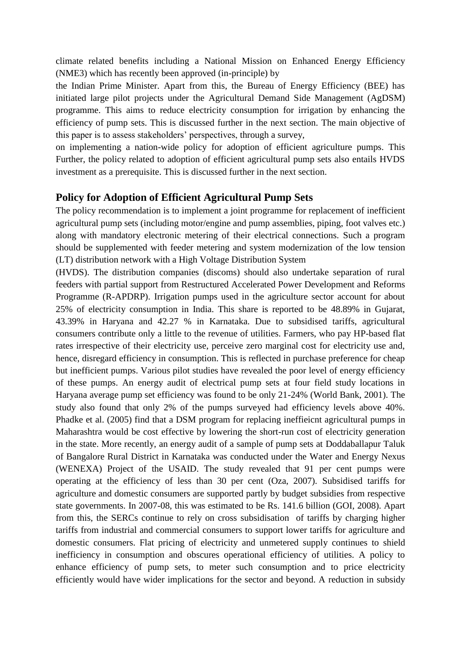climate related benefits including a National Mission on Enhanced Energy Efficiency (NME3) which has recently been approved (in-principle) by

the Indian Prime Minister. Apart from this, the Bureau of Energy Efficiency (BEE) has initiated large pilot projects under the Agricultural Demand Side Management (AgDSM) programme. This aims to reduce electricity consumption for irrigation by enhancing the efficiency of pump sets. This is discussed further in the next section. The main objective of this paper is to assess stakeholders' perspectives, through a survey,

on implementing a nation-wide policy for adoption of efficient agriculture pumps. This Further, the policy related to adoption of efficient agricultural pump sets also entails HVDS investment as a prerequisite. This is discussed further in the next section.

### **Policy for Adoption of Efficient Agricultural Pump Sets**

The policy recommendation is to implement a joint programme for replacement of inefficient agricultural pump sets (including motor/engine and pump assemblies, piping, foot valves etc.) along with mandatory electronic metering of their electrical connections. Such a program should be supplemented with feeder metering and system modernization of the low tension (LT) distribution network with a High Voltage Distribution System

(HVDS). The distribution companies (discoms) should also undertake separation of rural feeders with partial support from Restructured Accelerated Power Development and Reforms Programme (R-APDRP). Irrigation pumps used in the agriculture sector account for about 25% of electricity consumption in India. This share is reported to be 48.89% in Gujarat, 43.39% in Haryana and 42.27 % in Karnataka. Due to subsidised tariffs, agricultural consumers contribute only a little to the revenue of utilities. Farmers, who pay HP-based flat rates irrespective of their electricity use, perceive zero marginal cost for electricity use and, hence, disregard efficiency in consumption. This is reflected in purchase preference for cheap but inefficient pumps. Various pilot studies have revealed the poor level of energy efficiency of these pumps. An energy audit of electrical pump sets at four field study locations in Haryana average pump set efficiency was found to be only 21-24% (World Bank, 2001). The study also found that only 2% of the pumps surveyed had efficiency levels above 40%. Phadke et al. (2005) find that a DSM program for replacing ineffieicnt agricultural pumps in Maharashtra would be cost effective by lowering the short-run cost of electricity generation in the state. More recently, an energy audit of a sample of pump sets at Doddaballapur Taluk of Bangalore Rural District in Karnataka was conducted under the Water and Energy Nexus (WENEXA) Project of the USAID. The study revealed that 91 per cent pumps were operating at the efficiency of less than 30 per cent (Oza, 2007). Subsidised tariffs for agriculture and domestic consumers are supported partly by budget subsidies from respective state governments. In 2007-08, this was estimated to be Rs. 141.6 billion (GOI, 2008). Apart from this, the SERCs continue to rely on cross subsidisation of tariffs by charging higher tariffs from industrial and commercial consumers to support lower tariffs for agriculture and domestic consumers. Flat pricing of electricity and unmetered supply continues to shield inefficiency in consumption and obscures operational efficiency of utilities. A policy to enhance efficiency of pump sets, to meter such consumption and to price electricity efficiently would have wider implications for the sector and beyond. A reduction in subsidy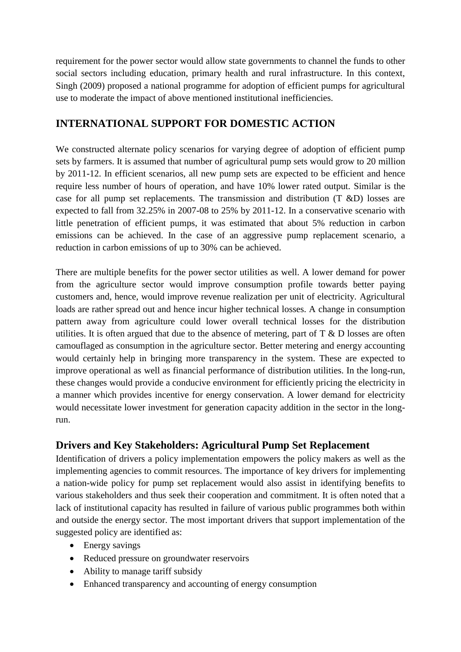requirement for the power sector would allow state governments to channel the funds to other social sectors including education, primary health and rural infrastructure. In this context, Singh (2009) proposed a national programme for adoption of efficient pumps for agricultural use to moderate the impact of above mentioned institutional inefficiencies.

## **INTERNATIONAL SUPPORT FOR DOMESTIC ACTION**

We constructed alternate policy scenarios for varying degree of adoption of efficient pump sets by farmers. It is assumed that number of agricultural pump sets would grow to 20 million by 2011-12. In efficient scenarios, all new pump sets are expected to be efficient and hence require less number of hours of operation, and have 10% lower rated output. Similar is the case for all pump set replacements. The transmission and distribution (T &D) losses are expected to fall from 32.25% in 2007-08 to 25% by 2011-12. In a conservative scenario with little penetration of efficient pumps, it was estimated that about 5% reduction in carbon emissions can be achieved. In the case of an aggressive pump replacement scenario, a reduction in carbon emissions of up to 30% can be achieved.

There are multiple benefits for the power sector utilities as well. A lower demand for power from the agriculture sector would improve consumption profile towards better paying customers and, hence, would improve revenue realization per unit of electricity. Agricultural loads are rather spread out and hence incur higher technical losses. A change in consumption pattern away from agriculture could lower overall technical losses for the distribution utilities. It is often argued that due to the absence of metering, part of  $T \& D$  losses are often camouflaged as consumption in the agriculture sector. Better metering and energy accounting would certainly help in bringing more transparency in the system. These are expected to improve operational as well as financial performance of distribution utilities. In the long-run, these changes would provide a conducive environment for efficiently pricing the electricity in a manner which provides incentive for energy conservation. A lower demand for electricity would necessitate lower investment for generation capacity addition in the sector in the longrun.

## **Drivers and Key Stakeholders: Agricultural Pump Set Replacement**

Identification of drivers a policy implementation empowers the policy makers as well as the implementing agencies to commit resources. The importance of key drivers for implementing a nation-wide policy for pump set replacement would also assist in identifying benefits to various stakeholders and thus seek their cooperation and commitment. It is often noted that a lack of institutional capacity has resulted in failure of various public programmes both within and outside the energy sector. The most important drivers that support implementation of the suggested policy are identified as:

- Energy savings
- Reduced pressure on groundwater reservoirs
- Ability to manage tariff subsidy
- Enhanced transparency and accounting of energy consumption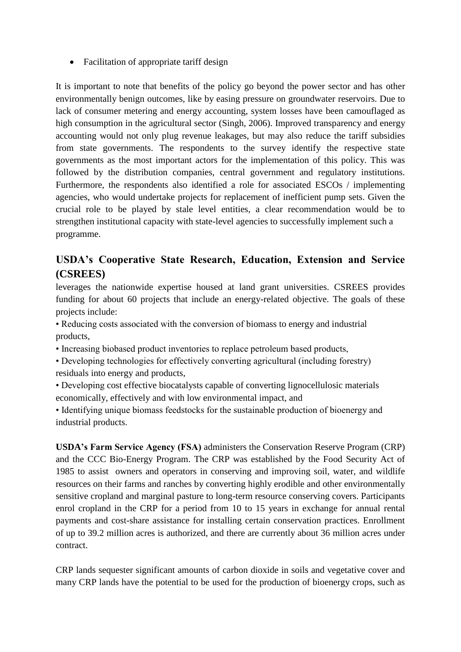• Facilitation of appropriate tariff design

It is important to note that benefits of the policy go beyond the power sector and has other environmentally benign outcomes, like by easing pressure on groundwater reservoirs. Due to lack of consumer metering and energy accounting, system losses have been camouflaged as high consumption in the agricultural sector (Singh, 2006). Improved transparency and energy accounting would not only plug revenue leakages, but may also reduce the tariff subsidies from state governments. The respondents to the survey identify the respective state governments as the most important actors for the implementation of this policy. This was followed by the distribution companies, central government and regulatory institutions. Furthermore, the respondents also identified a role for associated ESCOs / implementing agencies, who would undertake projects for replacement of inefficient pump sets. Given the crucial role to be played by stale level entities, a clear recommendation would be to strengthen institutional capacity with state-level agencies to successfully implement such a programme.

# **USDA's Cooperative State Research, Education, Extension and Service (CSREES)**

leverages the nationwide expertise housed at land grant universities. CSREES provides funding for about 60 projects that include an energy-related objective. The goals of these projects include:

• Reducing costs associated with the conversion of biomass to energy and industrial products,

• Increasing biobased product inventories to replace petroleum based products,

• Developing technologies for effectively converting agricultural (including forestry) residuals into energy and products,

• Developing cost effective biocatalysts capable of converting lignocellulosic materials economically, effectively and with low environmental impact, and

• Identifying unique biomass feedstocks for the sustainable production of bioenergy and industrial products.

**USDA's Farm Service Agency (FSA)** administers the Conservation Reserve Program (CRP) and the CCC Bio-Energy Program. The CRP was established by the Food Security Act of 1985 to assist owners and operators in conserving and improving soil, water, and wildlife resources on their farms and ranches by converting highly erodible and other environmentally sensitive cropland and marginal pasture to long-term resource conserving covers. Participants enrol cropland in the CRP for a period from 10 to 15 years in exchange for annual rental payments and cost-share assistance for installing certain conservation practices. Enrollment of up to 39.2 million acres is authorized, and there are currently about 36 million acres under contract.

CRP lands sequester significant amounts of carbon dioxide in soils and vegetative cover and many CRP lands have the potential to be used for the production of bioenergy crops, such as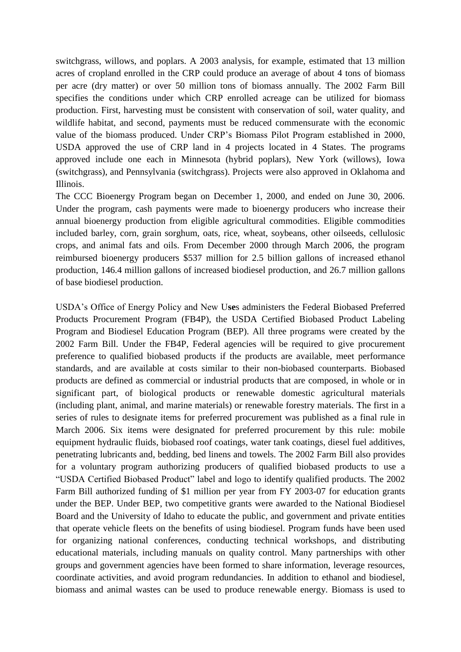switchgrass, willows, and poplars. A 2003 analysis, for example, estimated that 13 million acres of cropland enrolled in the CRP could produce an average of about 4 tons of biomass per acre (dry matter) or over 50 million tons of biomass annually. The 2002 Farm Bill specifies the conditions under which CRP enrolled acreage can be utilized for biomass production. First, harvesting must be consistent with conservation of soil, water quality, and wildlife habitat, and second, payments must be reduced commensurate with the economic value of the biomass produced. Under CRP's Biomass Pilot Program established in 2000, USDA approved the use of CRP land in 4 projects located in 4 States. The programs approved include one each in Minnesota (hybrid poplars), New York (willows), Iowa (switchgrass), and Pennsylvania (switchgrass). Projects were also approved in Oklahoma and Illinois.

The CCC Bioenergy Program began on December 1, 2000, and ended on June 30, 2006. Under the program, cash payments were made to bioenergy producers who increase their annual bioenergy production from eligible agricultural commodities. Eligible commodities included barley, corn, grain sorghum, oats, rice, wheat, soybeans, other oilseeds, cellulosic crops, and animal fats and oils. From December 2000 through March 2006, the program reimbursed bioenergy producers \$537 million for 2.5 billion gallons of increased ethanol production, 146.4 million gallons of increased biodiesel production, and 26.7 million gallons of base biodiesel production.

USDA's Office of Energy Policy and New U**se**s administers the Federal Biobased Preferred Products Procurement Program (FB4P), the USDA Certified Biobased Product Labeling Program and Biodiesel Education Program (BEP). All three programs were created by the 2002 Farm Bill. Under the FB4P, Federal agencies will be required to give procurement preference to qualified biobased products if the products are available, meet performance standards, and are available at costs similar to their non-biobased counterparts. Biobased products are defined as commercial or industrial products that are composed, in whole or in significant part, of biological products or renewable domestic agricultural materials (including plant, animal, and marine materials) or renewable forestry materials. The first in a series of rules to designate items for preferred procurement was published as a final rule in March 2006. Six items were designated for preferred procurement by this rule: mobile equipment hydraulic fluids, biobased roof coatings, water tank coatings, diesel fuel additives, penetrating lubricants and, bedding, bed linens and towels. The 2002 Farm Bill also provides for a voluntary program authorizing producers of qualified biobased products to use a "USDA Certified Biobased Product" label and logo to identify qualified products. The 2002 Farm Bill authorized funding of \$1 million per year from FY 2003-07 for education grants under the BEP. Under BEP, two competitive grants were awarded to the National Biodiesel Board and the University of Idaho to educate the public, and government and private entities that operate vehicle fleets on the benefits of using biodiesel. Program funds have been used for organizing national conferences, conducting technical workshops, and distributing educational materials, including manuals on quality control. Many partnerships with other groups and government agencies have been formed to share information, leverage resources, coordinate activities, and avoid program redundancies. In addition to ethanol and biodiesel, biomass and animal wastes can be used to produce renewable energy. Biomass is used to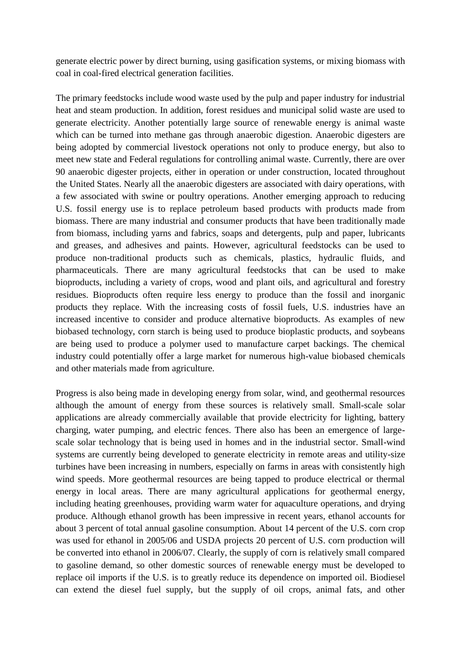generate electric power by direct burning, using gasification systems, or mixing biomass with coal in coal-fired electrical generation facilities.

The primary feedstocks include wood waste used by the pulp and paper industry for industrial heat and steam production. In addition, forest residues and municipal solid waste are used to generate electricity. Another potentially large source of renewable energy is animal waste which can be turned into methane gas through anaerobic digestion. Anaerobic digesters are being adopted by commercial livestock operations not only to produce energy, but also to meet new state and Federal regulations for controlling animal waste. Currently, there are over 90 anaerobic digester projects, either in operation or under construction, located throughout the United States. Nearly all the anaerobic digesters are associated with dairy operations, with a few associated with swine or poultry operations. Another emerging approach to reducing U.S. fossil energy use is to replace petroleum based products with products made from biomass. There are many industrial and consumer products that have been traditionally made from biomass, including yarns and fabrics, soaps and detergents, pulp and paper, lubricants and greases, and adhesives and paints. However, agricultural feedstocks can be used to produce non-traditional products such as chemicals, plastics, hydraulic fluids, and pharmaceuticals. There are many agricultural feedstocks that can be used to make bioproducts, including a variety of crops, wood and plant oils, and agricultural and forestry residues. Bioproducts often require less energy to produce than the fossil and inorganic products they replace. With the increasing costs of fossil fuels, U.S. industries have an increased incentive to consider and produce alternative bioproducts. As examples of new biobased technology, corn starch is being used to produce bioplastic products, and soybeans are being used to produce a polymer used to manufacture carpet backings. The chemical industry could potentially offer a large market for numerous high-value biobased chemicals and other materials made from agriculture.

Progress is also being made in developing energy from solar, wind, and geothermal resources although the amount of energy from these sources is relatively small. Small-scale solar applications are already commercially available that provide electricity for lighting, battery charging, water pumping, and electric fences. There also has been an emergence of largescale solar technology that is being used in homes and in the industrial sector. Small-wind systems are currently being developed to generate electricity in remote areas and utility-size turbines have been increasing in numbers, especially on farms in areas with consistently high wind speeds. More geothermal resources are being tapped to produce electrical or thermal energy in local areas. There are many agricultural applications for geothermal energy, including heating greenhouses, providing warm water for aquaculture operations, and drying produce. Although ethanol growth has been impressive in recent years, ethanol accounts for about 3 percent of total annual gasoline consumption. About 14 percent of the U.S. corn crop was used for ethanol in 2005/06 and USDA projects 20 percent of U.S. corn production will be converted into ethanol in 2006/07. Clearly, the supply of corn is relatively small compared to gasoline demand, so other domestic sources of renewable energy must be developed to replace oil imports if the U.S. is to greatly reduce its dependence on imported oil. Biodiesel can extend the diesel fuel supply, but the supply of oil crops, animal fats, and other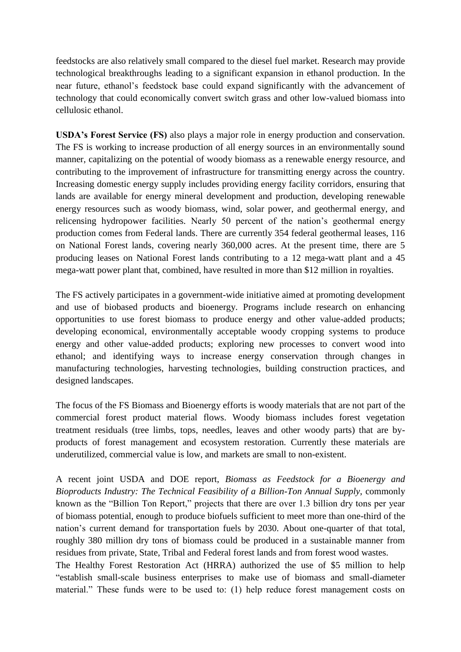feedstocks are also relatively small compared to the diesel fuel market. Research may provide technological breakthroughs leading to a significant expansion in ethanol production. In the near future, ethanol's feedstock base could expand significantly with the advancement of technology that could economically convert switch grass and other low-valued biomass into cellulosic ethanol.

**USDA's Forest Service (FS)** also plays a major role in energy production and conservation. The FS is working to increase production of all energy sources in an environmentally sound manner, capitalizing on the potential of woody biomass as a renewable energy resource, and contributing to the improvement of infrastructure for transmitting energy across the country. Increasing domestic energy supply includes providing energy facility corridors, ensuring that lands are available for energy mineral development and production, developing renewable energy resources such as woody biomass, wind, solar power, and geothermal energy, and relicensing hydropower facilities. Nearly 50 percent of the nation's geothermal energy production comes from Federal lands. There are currently 354 federal geothermal leases, 116 on National Forest lands, covering nearly 360,000 acres. At the present time, there are 5 producing leases on National Forest lands contributing to a 12 mega-watt plant and a 45 mega-watt power plant that, combined, have resulted in more than \$12 million in royalties.

The FS actively participates in a government-wide initiative aimed at promoting development and use of biobased products and bioenergy. Programs include research on enhancing opportunities to use forest biomass to produce energy and other value-added products; developing economical, environmentally acceptable woody cropping systems to produce energy and other value-added products; exploring new processes to convert wood into ethanol; and identifying ways to increase energy conservation through changes in manufacturing technologies, harvesting technologies, building construction practices, and designed landscapes.

The focus of the FS Biomass and Bioenergy efforts is woody materials that are not part of the commercial forest product material flows. Woody biomass includes forest vegetation treatment residuals (tree limbs, tops, needles, leaves and other woody parts) that are byproducts of forest management and ecosystem restoration. Currently these materials are underutilized, commercial value is low, and markets are small to non-existent.

A recent joint USDA and DOE report, *Biomass as Feedstock for a Bioenergy and Bioproducts Industry: The Technical Feasibility of a Billion-Ton Annual Supply*, commonly known as the "Billion Ton Report," projects that there are over 1.3 billion dry tons per year of biomass potential, enough to produce biofuels sufficient to meet more than one-third of the nation's current demand for transportation fuels by 2030. About one-quarter of that total, roughly 380 million dry tons of biomass could be produced in a sustainable manner from residues from private, State, Tribal and Federal forest lands and from forest wood wastes.

The Healthy Forest Restoration Act (HRRA) authorized the use of \$5 million to help "establish small-scale business enterprises to make use of biomass and small-diameter material." These funds were to be used to: (1) help reduce forest management costs on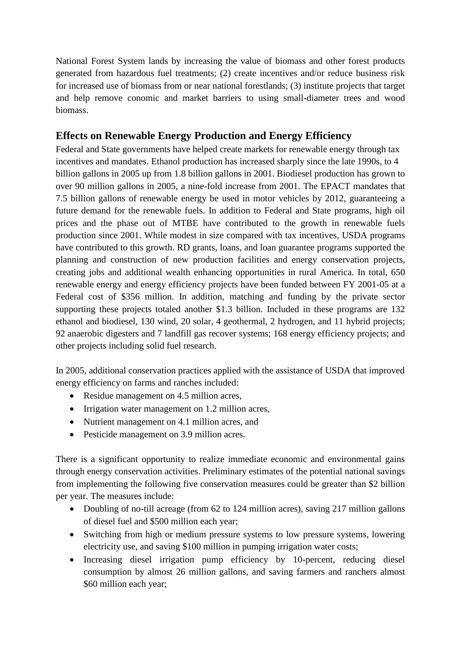National Forest System lands by increasing the value of biomass and other forest products generated from hazardous fuel treatments; (2) create incentives and/or reduce business risk for increased use of biomass from or near national forestlands; (3) institute projects that target and help remove conomic and market barriers to using small-diameter trees and wood biomass.

### **Effects on Renewable Energy Production and Energy Efficiency**

Federal and State governments have helped create markets for renewable energy through tax incentives and mandates. Ethanol production has increased sharply since the late 1990s, to 4 billion gallons in 2005 up from 1.8 billion gallons in 2001. Biodiesel production has grown to over 90 million gallons in 2005, a nine-fold increase from 2001. The EPACT mandates that 7.5 billion gallons of renewable energy be used in motor vehicles by 2012, guaranteeing a future demand for the renewable fuels. In addition to Federal and State programs, high oil prices and the phase out of MTBE have contributed to the growth in renewable fuels production since 2001. While modest in size compared with tax incentives, USDA programs have contributed to this growth. RD grants, loans, and loan guarantee programs supported the planning and construction of new production facilities and energy conservation projects, creating jobs and additional wealth enhancing opportunities in rural America. In total, 650 renewable energy and energy efficiency projects have been funded between FY 2001-05 at a Federal cost of \$356 million. In addition, matching and funding by the private sector supporting these projects totaled another \$1.3 billion. Included in these programs are 132 ethanol and biodiesel, 130 wind, 20 solar, 4 geothermal, 2 hydrogen, and 11 hybrid projects; 92 anaerobic digesters and 7 landfill gas recover systems; 168 energy efficiency projects; and other projects including solid fuel research.

In 2005, additional conservation practices applied with the assistance of USDA that improved energy efficiency on farms and ranches included:

- Residue management on 4.5 million acres,
- Irrigation water management on 1.2 million acres,
- Nutrient management on 4.1 million acres, and
- Pesticide management on 3.9 million acres.

There is a significant opportunity to realize immediate economic and environmental gains through energy conservation activities. Preliminary estimates of the potential national savings from implementing the following five conservation measures could be greater than \$2 billion per year. The measures include:

- Doubling of no-till acreage (from 62 to 124 million acres), saving 217 million gallons of diesel fuel and \$500 million each year;
- Switching from high or medium pressure systems to low pressure systems, lowering electricity use, and saving \$100 million in pumping irrigation water costs;
- Increasing diesel irrigation pump efficiency by 10-percent, reducing diesel consumption by almost 26 million gallons, and saving farmers and ranchers almost \$60 million each year;